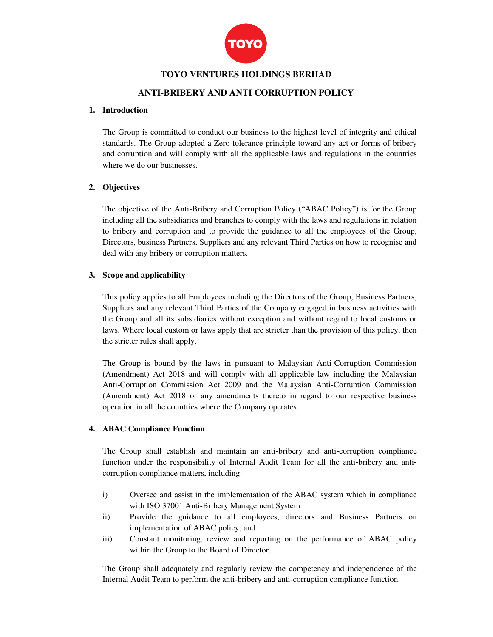

## **TOYO VENTURES HOLDINGS BERHAD**

# **ANTI-BRIBERY AND ANTI CORRUPTION POLICY**

#### **1. Introduction**

The Group is committed to conduct our business to the highest level of integrity and ethical standards. The Group adopted a Zero-tolerance principle toward any act or forms of bribery and corruption and will comply with all the applicable laws and regulations in the countries where we do our businesses.

### **2. Objectives**

The objective of the Anti-Bribery and Corruption Policy ("ABAC Policy") is for the Group including all the subsidiaries and branches to comply with the laws and regulations in relation to bribery and corruption and to provide the guidance to all the employees of the Group, Directors, business Partners, Suppliers and any relevant Third Parties on how to recognise and deal with any bribery or corruption matters.

### **3. Scope and applicability**

This policy applies to all Employees including the Directors of the Group, Business Partners, Suppliers and any relevant Third Parties of the Company engaged in business activities with the Group and all its subsidiaries without exception and without regard to local customs or laws. Where local custom or laws apply that are stricter than the provision of this policy, then the stricter rules shall apply.

The Group is bound by the laws in pursuant to Malaysian Anti-Corruption Commission (Amendment) Act 2018 and will comply with all applicable law including the Malaysian Anti-Corruption Commission Act 2009 and the Malaysian Anti-Corruption Commission (Amendment) Act 2018 or any amendments thereto in regard to our respective business operation in all the countries where the Company operates.

#### **4. ABAC Compliance Function**

The Group shall establish and maintain an anti-bribery and anti-corruption compliance function under the responsibility of Internal Audit Team for all the anti-bribery and anticorruption compliance matters, including:-

- i) Oversee and assist in the implementation of the ABAC system which in compliance with ISO 37001 Anti-Bribery Management System
- ii) Provide the guidance to all employees, directors and Business Partners on implementation of ABAC policy; and
- iii) Constant monitoring, review and reporting on the performance of ABAC policy within the Group to the Board of Director.

The Group shall adequately and regularly review the competency and independence of the Internal Audit Team to perform the anti-bribery and anti-corruption compliance function.